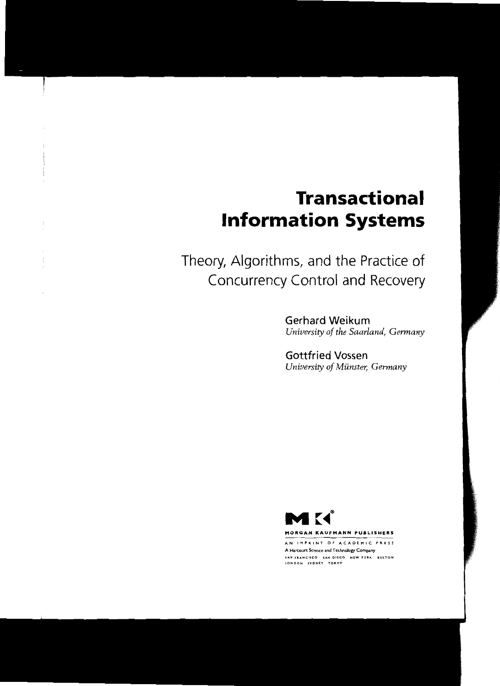# **Transactional Information Systems**

Theory, Aigorithms, and the Practice of Concurrency Control and Recovery

> Gerhard Weikum *University of the Saarland, Gennany*

Gottfried Vossen *University of Münster, Gennany*



MORGAN KAUFMANN PUBLISHERS

AN IMPRINT OF ACADEMIC PRESS A Harccurt Science and Technology Company SAN FRANCISCO SAN DIEGO NEW YORK BOSTON LONDON SYDNET TOKTO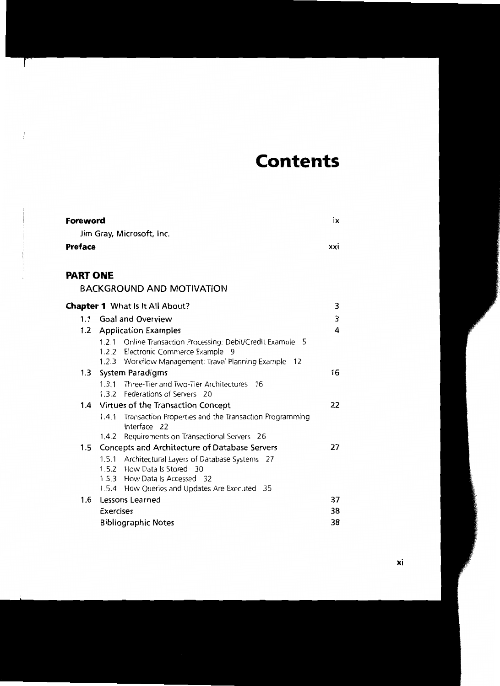# **Contents**

| <b>Foreword</b> |                  |                                                                                                                                                                       | ix  |
|-----------------|------------------|-----------------------------------------------------------------------------------------------------------------------------------------------------------------------|-----|
|                 |                  | Jim Gray, Microsoft, Inc.                                                                                                                                             |     |
| <b>Preface</b>  |                  |                                                                                                                                                                       | xxi |
| <b>PART ONE</b> |                  |                                                                                                                                                                       |     |
|                 |                  | <b>BACKGROUND AND MOTIVATION</b>                                                                                                                                      |     |
|                 |                  | Chapter 1 What Is It All About?                                                                                                                                       | 3   |
| 1.1             |                  | <b>Goal and Overview</b>                                                                                                                                              | 3   |
|                 |                  | 1.2 Application Examples                                                                                                                                              | 4   |
|                 |                  | 1.2.1 Online Transaction Processing: Debit/Credit Example 5<br>1.2.2 Electronic Commerce Example<br>- 9<br>1.2.3 Workflow Management: Travel Planning Example<br>- 12 |     |
| 1.3             |                  | <b>System Paradigms</b>                                                                                                                                               | 16  |
|                 |                  | 1.3.1 Three-Tier and Two-Tier Architectures 16<br>1.3.2 Federations of Servers 20                                                                                     |     |
| 1.4             |                  | Virtues of the Transaction Concept                                                                                                                                    | 22  |
|                 |                  | 1.4.1 Transaction Properties and the Transaction Programming<br>Interface 22                                                                                          |     |
|                 | 1.4.2            | Requirements on Transactional Servers 26                                                                                                                              |     |
| 1.5             |                  | Concepts and Architecture of Database Servers                                                                                                                         | 27  |
|                 |                  | 1.5.1 Architectural Layers of Database Systems 27<br>1.5.2 How Data Is Stored 30<br>1.5.3 How Data Is Accessed 32<br>1.5.4 How Queries and Updates Are Executed 35    |     |
| 1.6             |                  | Lessons Learned                                                                                                                                                       | 37  |
|                 | <b>Exercises</b> |                                                                                                                                                                       | 38  |
|                 |                  | <b>Bibliographic Notes</b>                                                                                                                                            | 38  |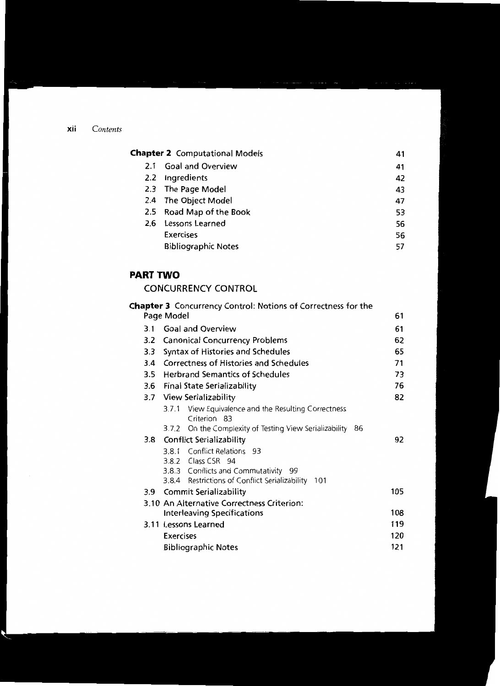| <b>Chapter 2</b> Computational Models | 41 |
|---------------------------------------|----|
| 2.1 Goal and Overview                 | 41 |
| 2.2 Ingredients                       | 42 |
| 2.3 The Page Model                    | 43 |
| 2.4 The Object Model                  | 47 |
| 2.5 Road Map of the Book              | 53 |
| 2.6 Lessons Learned                   | 56 |
| <b>Exercises</b>                      | 56 |
| <b>Bibliographic Notes</b>            | 57 |

### **PART TWO**

## CONCURRENCY CONTROL

|     | <b>Chapter 3</b> Concurrency Control: Notions of Correctness for the |     |
|-----|----------------------------------------------------------------------|-----|
|     | Page Model                                                           | 61  |
| 3.1 | <b>Goal and Overview</b>                                             | 61  |
| 3.2 | <b>Canonical Concurrency Problems</b>                                | 62  |
| 3.3 | Syntax of Histories and Schedules                                    | 65  |
| 3.4 | Correctness of Histories and Schedules                               | 71  |
| 3.5 | <b>Herbrand Semantics of Schedules</b>                               | 73  |
|     | 3.6 Final State Serializability                                      | 76  |
|     | 3.7 View Serializability                                             | 82  |
|     | 3.7.1 View Equivalence and the Resulting Correctness<br>Criterion 83 |     |
|     | -86<br>On the Complexity of Testing View Serializability<br>3.7.2    |     |
|     | 3.8 Conflict Serializability                                         | 92  |
|     | 3.8.1 Conflict Relations 93                                          |     |
|     | 3.8.2 Class CSR 94                                                   |     |
|     | 3.8.3 Conflicts and Commutativity 99                                 |     |
|     | 3.8.4 Restrictions of Conflict Serializability 101                   |     |
| 3.9 | <b>Commit Serializability</b>                                        | 105 |
|     | 3.10 An Alternative Correctness Criterion:                           |     |
|     | <b>Interleaving Specifications</b>                                   | 108 |
|     | 3.11 Lessons Learned                                                 | 119 |
|     | <b>Exercises</b>                                                     | 120 |
|     | <b>Bibliographic Notes</b>                                           | 121 |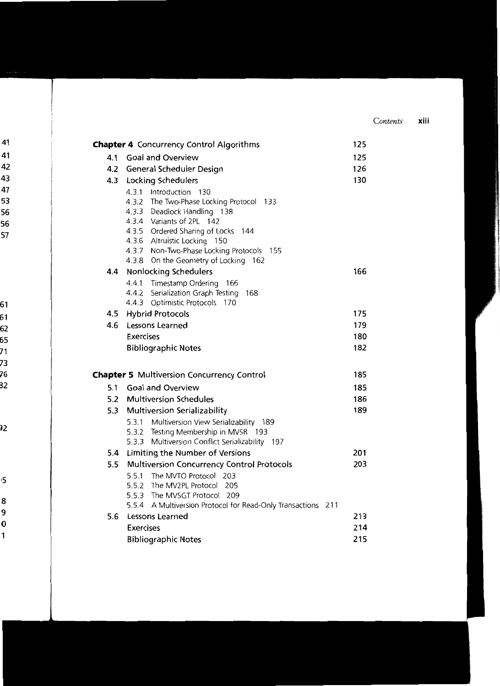|                            | <b>Chapter 4</b> Concurrency Control Algorithms |                                                   |                                                                                                   | 125 |     |
|----------------------------|-------------------------------------------------|---------------------------------------------------|---------------------------------------------------------------------------------------------------|-----|-----|
|                            | 4.1                                             | <b>Goal and Overview</b>                          |                                                                                                   |     | 125 |
|                            | 4.2                                             | General Scheduler Design                          |                                                                                                   |     | 126 |
|                            |                                                 | 4.3 Locking Schedulers                            |                                                                                                   |     | 130 |
|                            |                                                 |                                                   | 4.3.1 Introduction 130<br>4.3.2 The Two-Phase Locking Protocol 133<br>4.3.3 Deadlock Handling 138 |     |     |
|                            |                                                 | 4.3.4                                             | Variants of 2PL 142                                                                               |     |     |
|                            |                                                 |                                                   | 4.3.5 Ordered Sharing of Locks 144                                                                |     |     |
|                            |                                                 |                                                   | 4.3.6 Altruistic Locking 150                                                                      |     |     |
|                            |                                                 |                                                   | 4.3.7 Non-Two-Phase Locking Protocols 155                                                         |     |     |
|                            |                                                 | 4.3.8                                             | On the Geometry of Locking 162                                                                    |     |     |
|                            |                                                 |                                                   | 4.4 Nonlocking Schedulers                                                                         |     | 166 |
|                            |                                                 |                                                   | 4.4.1 Timestamp Ordering<br>166                                                                   |     |     |
|                            |                                                 | 4.4.2                                             | Serialization Graph Testing<br>168                                                                |     |     |
|                            |                                                 | 4.4.3                                             | Optimistic Protocols<br>170                                                                       |     |     |
|                            | 4.5                                             |                                                   | <b>Hybrid Protocols</b>                                                                           |     | 175 |
|                            | 4.6                                             |                                                   | <b>Lessons Learned</b>                                                                            |     | 179 |
|                            |                                                 | <b>Exercises</b>                                  |                                                                                                   |     | 180 |
|                            |                                                 |                                                   | <b>Bibliographic Notes</b>                                                                        |     | 182 |
|                            |                                                 |                                                   | <b>Chapter 5</b> Multiversion Concurrency Control                                                 |     | 185 |
|                            | 5.1                                             |                                                   | <b>Goal and Overview</b>                                                                          |     | 185 |
|                            | 5.2                                             |                                                   | <b>Multiversion Schedules</b>                                                                     |     | 186 |
|                            |                                                 |                                                   | 5.3 Multiversion Serializability                                                                  |     | 189 |
|                            |                                                 | 5.3.1                                             | Multiversion View Serializability 189                                                             |     |     |
|                            |                                                 |                                                   | 5.3.2 Testing Membership in MVSR 193                                                              |     |     |
|                            |                                                 |                                                   | 5.3.3 Multiversion Conflict Serializability 197                                                   |     |     |
|                            | 5.4                                             |                                                   | Limiting the Number of Versions                                                                   |     | 201 |
|                            | 5.5                                             | <b>Multiversion Concurrency Control Protocols</b> |                                                                                                   |     | 203 |
|                            |                                                 | 5.5.1                                             | The MVTO Protocol<br>203                                                                          |     |     |
|                            |                                                 |                                                   | 5.5.2 The MV2PL Protocol 205                                                                      |     |     |
|                            |                                                 |                                                   | 5.5.3 The MVSGT Protocol 209                                                                      |     |     |
|                            |                                                 |                                                   | 5.5.4 A Multiversion Protocol for Read-Only Transactions 211                                      |     |     |
|                            | 5.6                                             |                                                   | Lessons Learned                                                                                   |     | 213 |
|                            |                                                 | <b>Exercises</b>                                  |                                                                                                   |     | 214 |
| <b>Bibliographic Notes</b> |                                                 |                                                   |                                                                                                   |     | 215 |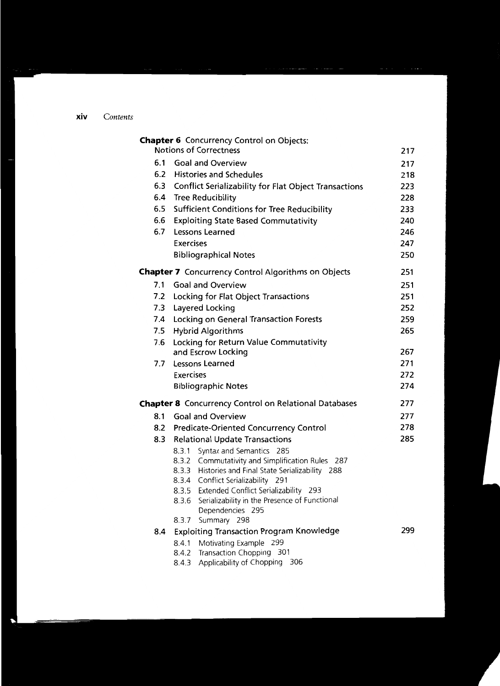|     | <b>Chapter 6</b> Concurrency Control on Objects:<br><b>Notions of Correctness</b>         | 217 |
|-----|-------------------------------------------------------------------------------------------|-----|
| 6.1 | <b>Goal and Overview</b>                                                                  | 217 |
| 6.2 | <b>Histories and Schedules</b>                                                            | 218 |
| 6.3 | Conflict Serializability for Flat Object Transactions                                     | 223 |
| 6.4 | <b>Tree Reducibility</b>                                                                  | 228 |
| 6.5 | <b>Sufficient Conditions for Tree Reducibility</b>                                        | 233 |
| 6.6 | <b>Exploiting State Based Commutativity</b>                                               | 240 |
| 6.7 | <b>Lessons Learned</b>                                                                    | 246 |
|     | <b>Exercises</b>                                                                          | 247 |
|     | <b>Bibliographical Notes</b>                                                              | 250 |
|     | Chapter 7 Concurrency Control Algorithms on Objects                                       | 251 |
| 7.1 | <b>Goal and Overview</b>                                                                  | 251 |
| 7.2 | Locking for Flat Object Transactions                                                      | 251 |
| 7.3 | Layered Locking                                                                           | 252 |
| 7.4 | <b>Locking on General Transaction Forests</b>                                             | 259 |
| 7.5 | <b>Hybrid Algorithms</b>                                                                  | 265 |
| 7.6 | Locking for Return Value Commutativity                                                    |     |
|     | and Escrow Locking                                                                        | 267 |
| 7.7 | Lessons Learned                                                                           | 271 |
|     | <b>Exercises</b>                                                                          | 272 |
|     | <b>Bibliographic Notes</b>                                                                | 274 |
|     | <b>Chapter 8</b> Concurrency Control on Relational Databases                              | 277 |
| 8.1 | <b>Goal and Overview</b>                                                                  | 277 |
| 8.2 | <b>Predicate-Oriented Concurrency Control</b>                                             | 278 |
| 8.3 | <b>Relational Update Transactions</b>                                                     | 285 |
|     | Syntax and Semantics 285<br>8.3.1                                                         |     |
|     | 8.3.2 Commutativity and Simplification Rules<br>-287                                      |     |
|     | 8.3.3 Histories and Final State Serializability 288<br>8.3.4 Conflict Serializability 291 |     |
|     | 8.3.5 Extended Conflict Serializability 293                                               |     |
|     | 8.3.6 Serializability in the Presence of Functional                                       |     |
|     | Dependencies 295                                                                          |     |
|     | Summary 298<br>8.3.7                                                                      |     |
| 8.4 | <b>Exploiting Transaction Program Knowledge</b>                                           | 299 |
|     | Motivating Example<br>299<br>8.4.1                                                        |     |
|     | Transaction Chopping 301<br>8.4.2                                                         |     |
|     | Applicability of Chopping 306<br>8.4.3                                                    |     |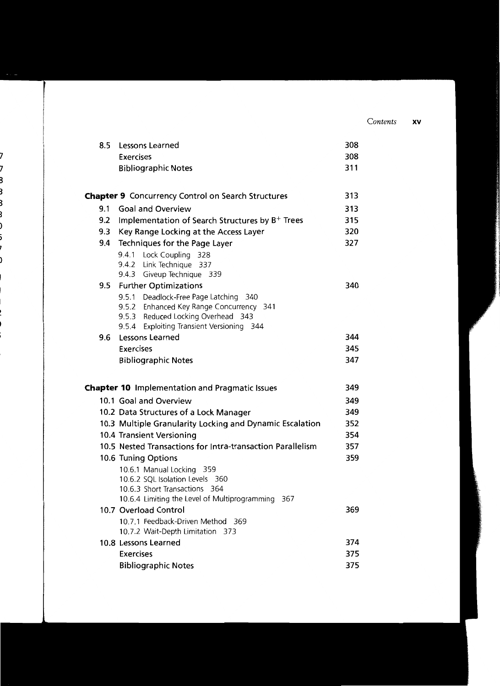| 8.5 | Lessons Learned                                                                    | 308 |
|-----|------------------------------------------------------------------------------------|-----|
|     | <b>Exercises</b>                                                                   | 308 |
|     | <b>Bibliographic Notes</b>                                                         | 311 |
|     |                                                                                    |     |
|     | Chapter 9 Concurrency Control on Search Structures                                 | 313 |
| 9.1 | <b>Goal and Overview</b>                                                           | 313 |
| 9.2 | Implementation of Search Structures by $B^+$ Trees                                 | 315 |
| 9.3 | Key Range Locking at the Access Layer                                              | 320 |
| 9.4 | Techniques for the Page Layer                                                      | 327 |
|     | 9.4.1 Lock Coupling 328                                                            |     |
|     | 9.4.2 Link Technique 337                                                           |     |
|     | 9.4.3 Giveup Technique 339                                                         |     |
| 9.5 | <b>Further Optimizations</b>                                                       | 340 |
|     | 9.5.1 Deadlock-Free Page Latching 340                                              |     |
|     | 9.5.2 Enhanced Key Range Concurrency 341                                           |     |
|     | 9.5.3 Reduced Locking Overhead 343<br>Exploiting Transient Versioning 344<br>9.5.4 |     |
|     | 9.6 Lessons Learned                                                                | 344 |
|     | <b>Exercises</b>                                                                   | 345 |
|     | <b>Bibliographic Notes</b>                                                         | 347 |
|     |                                                                                    |     |
|     | <b>Chapter 10</b> Implementation and Pragmatic Issues                              | 349 |
|     | 10.1 Goal and Overview                                                             | 349 |
|     | 10.2 Data Structures of a Lock Manager                                             | 349 |
|     | 10.3 Multiple Granularity Locking and Dynamic Escalation                           | 352 |
|     | 10.4 Transient Versioning                                                          | 354 |
|     | 10.5 Nested Transactions for Intra-transaction Parallelism                         | 357 |
|     | 10.6 Tuning Options                                                                | 359 |
|     | 10.6.1 Manual Locking 359                                                          |     |
|     | 10.6.2 SQL Isolation Levels 360                                                    |     |
|     | 10.6.3 Short Transactions 364                                                      |     |
|     | 10.6.4 Limiting the Level of Multiprogramming 367                                  |     |
|     | 10.7 Overload Control                                                              | 369 |
|     | 10.7.1 Feedback-Driven Method 369                                                  |     |
|     | 10.7.2 Wait-Depth Limitation 373                                                   |     |
|     | 10.8 Lessons Learned                                                               | 374 |
|     | <b>Exercises</b>                                                                   | 375 |
|     | <b>Bibliographic Notes</b>                                                         | 375 |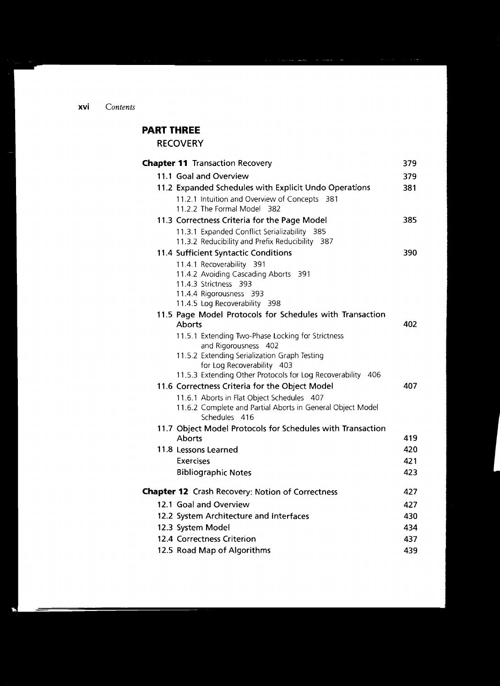# **PART THREE**

**RECOVERY**

| <b>Chapter 11 Transaction Recovery</b>                                                                   | 379 |
|----------------------------------------------------------------------------------------------------------|-----|
| 11.1 Goal and Overview                                                                                   | 379 |
| 11.2 Expanded Schedules with Explicit Undo Operations                                                    | 381 |
| 11.2.1 Intuition and Overview of Concepts 381                                                            |     |
| 11.2.2 The Formal Model 382                                                                              |     |
| 11.3 Correctness Criteria for the Page Model                                                             | 385 |
| 11.3.1 Expanded Conflict Serializability 385                                                             |     |
| 11.3.2 Reducibility and Prefix Reducibility 387                                                          |     |
| 11.4 Sufficient Syntactic Conditions                                                                     | 390 |
| 11.4.1 Recoverability 391                                                                                |     |
| 11.4.2 Avoiding Cascading Aborts 391                                                                     |     |
| 11.4.3 Strictness 393                                                                                    |     |
| 11.4.4 Rigorousness 393<br>11.4.5 Log Recoverability 398                                                 |     |
| 11.5 Page Model Protocols for Schedules with Transaction                                                 |     |
| <b>Aborts</b>                                                                                            | 402 |
| 11.5.1 Extending Two-Phase Locking for Strictness                                                        |     |
| and Rigorousness 402                                                                                     |     |
| 11.5.2 Extending Serialization Graph Testing                                                             |     |
| for Log Recoverability 403                                                                               |     |
| 11.5.3 Extending Other Protocols for Log Recoverability 406                                              |     |
| 11.6 Correctness Criteria for the Object Model                                                           | 407 |
| 11.6.1 Aborts in Flat Object Schedules 407<br>11.6.2 Complete and Partial Aborts in General Object Model |     |
| Schedules 416                                                                                            |     |
| 11.7 Object Model Protocols for Schedules with Transaction                                               |     |
| <b>Aborts</b>                                                                                            | 419 |
| 11.8 Lessons Learned                                                                                     | 420 |
| Exercises                                                                                                | 421 |
| <b>Bibliographic Notes</b>                                                                               | 423 |
| <b>Chapter 12</b> Crash Recovery: Notion of Correctness                                                  | 427 |
| 12.1 Goal and Overview                                                                                   | 427 |
|                                                                                                          | 430 |
| 12.2 System Architecture and Interfaces                                                                  | 434 |
| 12.3 System Model                                                                                        |     |
| 12.4 Correctness Criterion                                                                               | 437 |
| 12.5 Road Map of Algorithms                                                                              | 439 |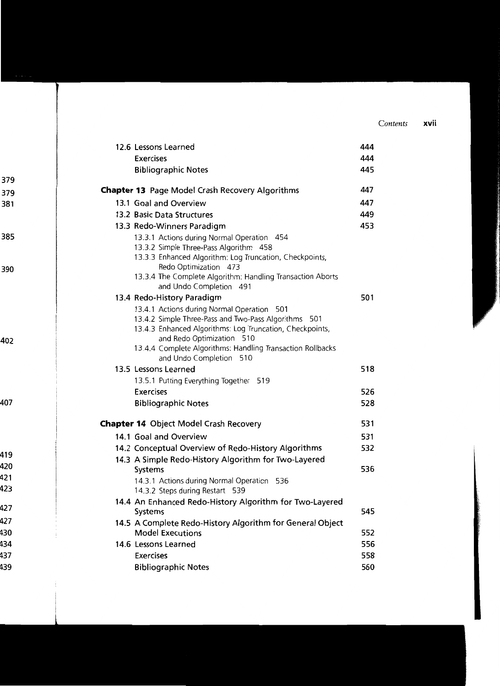| 12.6 Lessons Learned                                                                  | 444 |
|---------------------------------------------------------------------------------------|-----|
| <b>Exercises</b>                                                                      | 444 |
| <b>Bibliographic Notes</b>                                                            | 445 |
| <b>Chapter 13</b> Page Model Crash Recovery Algorithms                                | 447 |
| 13.1 Goal and Overview                                                                | 447 |
| 13.2 Basic Data Structures                                                            | 449 |
| 13.3 Redo-Winners Paradigm                                                            | 453 |
| 13.3.1 Actions during Normal Operation 454                                            |     |
| 13.3.2 Simple Three-Pass Algorithm 458                                                |     |
| 13.3.3 Enhanced Algorithm: Log Truncation, Checkpoints,<br>Redo Optimization 473      |     |
| 13.3.4 The Complete Algorithm: Handling Transaction Aborts                            |     |
| and Undo Completion 491                                                               |     |
| 13.4 Redo-History Paradigm                                                            | 501 |
| 13.4.1 Actions during Normal Operation 501                                            |     |
| 13.4.2 Simple Three-Pass and Two-Pass Algorithms 501                                  |     |
| 13.4.3 Enhanced Algorithms: Log Truncation, Checkpoints,<br>and Redo Optimization 510 |     |
| 13.4.4 Complete Algorithms: Handling Transaction Rollbacks                            |     |
| and Undo Completion 510                                                               |     |
| 13.5 Lessons Learned                                                                  | 518 |
| 13.5.1 Putting Everything Together 519                                                |     |
| <b>Exercises</b>                                                                      | 526 |
| <b>Bibliographic Notes</b>                                                            | 528 |
| <b>Chapter 14</b> Object Model Crash Recovery                                         | 531 |
| 14.1 Goal and Overview                                                                | 531 |
| 14.2 Conceptual Overview of Redo-History Algorithms                                   | 532 |
| 14.3 A Simple Redo-History Algorithm for Two-Layered                                  |     |
| Systems                                                                               | 536 |
| 14.3.1 Actions during Normal Operation 536<br>14.3.2 Steps during Restart<br>539      |     |
| 14.4 An Enhanced Redo-History Algorithm for Two-Layered                               | 545 |
| Systems<br>14.5 A Complete Redo-History Algorithm for General Object                  |     |
| <b>Model Executions</b>                                                               | 552 |
| 14.6 Lessons Learned                                                                  | 556 |
| <b>Exercises</b>                                                                      | 558 |
| <b>Bibliographic Notes</b>                                                            | 560 |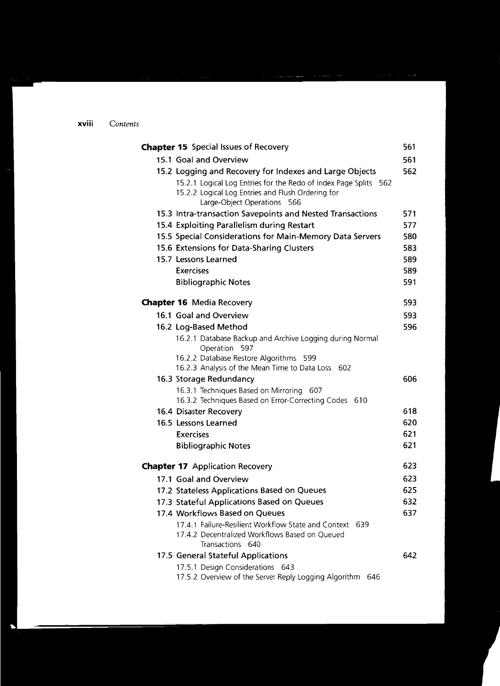| <b>Chapter 15</b> Special Issues of Recovery                                                                                                                                                                    | 561 |
|-----------------------------------------------------------------------------------------------------------------------------------------------------------------------------------------------------------------|-----|
| 15.1 Goal and Overview                                                                                                                                                                                          | 561 |
| 15.2 Logging and Recovery for Indexes and Large Objects<br>15.2.1 Logical Log Entries for the Redo of Index Page Splits 562<br>15.2.2 Logical Log Entries and Flush Ordering for<br>Large-Object Operations 566 | 562 |
| 15.3 Intra-transaction Savepoints and Nested Transactions                                                                                                                                                       | 571 |
| 15.4 Exploiting Parallelism during Restart                                                                                                                                                                      | 577 |
| 15.5 Special Considerations for Main-Memory Data Servers                                                                                                                                                        | 580 |
| 15.6 Extensions for Data-Sharing Clusters                                                                                                                                                                       | 583 |
| 15.7 Lessons Learned                                                                                                                                                                                            | 589 |
| <b>Exercises</b>                                                                                                                                                                                                | 589 |
| <b>Bibliographic Notes</b>                                                                                                                                                                                      | 591 |
| <b>Chapter 16</b> Media Recovery                                                                                                                                                                                | 593 |
| 16.1 Goal and Overview                                                                                                                                                                                          | 593 |
| 16.2 Log-Based Method                                                                                                                                                                                           | 596 |
| 16.2.1 Database Backup and Archive Logging during Normal<br>Operation 597<br>16.2.2 Database Restore Algorithms 599<br>16.2.3 Analysis of the Mean Time to Data Loss 602                                        |     |
| 16.3 Storage Redundancy                                                                                                                                                                                         | 606 |
| 16.3.1 Techniques Based on Mirroring<br>607<br>16.3.2 Techniques Based on Error-Correcting Codes 610                                                                                                            |     |
| 16.4 Disaster Recovery                                                                                                                                                                                          | 618 |
| 16.5 Lessons Learned                                                                                                                                                                                            | 620 |
| <b>Exercises</b>                                                                                                                                                                                                | 621 |
| <b>Bibliographic Notes</b>                                                                                                                                                                                      | 621 |
| <b>Chapter 17</b> Application Recovery                                                                                                                                                                          | 623 |
| 17.1 Goal and Overview                                                                                                                                                                                          | 623 |
| 17.2 Stateless Applications Based on Queues                                                                                                                                                                     | 625 |
| 17.3 Stateful Applications Based on Queues                                                                                                                                                                      | 632 |
| 17.4 Workflows Based on Queues                                                                                                                                                                                  | 637 |
| 17.4.1 Failure-Resilient Workflow State and Context<br>639<br>17.4.2 Decentralized Workflows Based on Oueued<br>Transactions 640                                                                                |     |
| 17.5 General Stateful Applications                                                                                                                                                                              | 642 |
| 17.5.1 Design Considerations 643<br>17.5.2 Overview of the Server Reply Logging Algorithm<br>646                                                                                                                |     |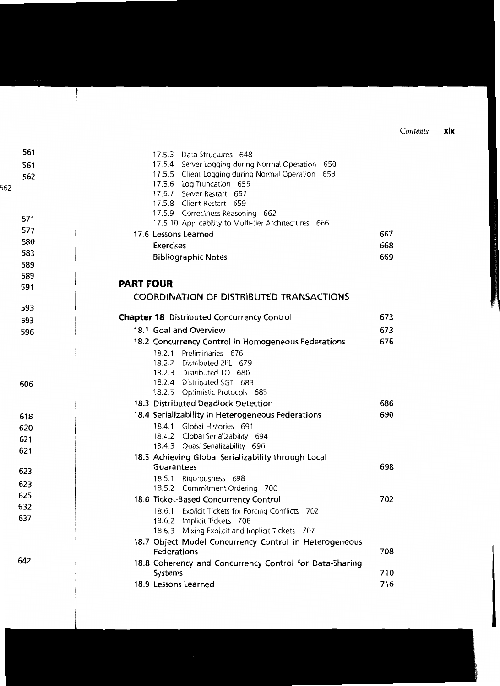|                  | 17.5.3 Data Structures 648<br>17.5.4 Server Logging during Normal Operation 650<br>17.5.5 Client Logging during Normal Operation 653<br>17.5.6 Log Truncation 655<br>17.5.7 Server Restart 657<br>17.5.8 Client Restart 659<br>17.5.9 Correctness Reasoning 662<br>17.5.10 Applicability to Multi-tier Architectures 666<br>17.6 Lessons Learned<br>Exercises<br><b>Bibliographic Notes</b> | 667<br>668<br>669 |
|------------------|---------------------------------------------------------------------------------------------------------------------------------------------------------------------------------------------------------------------------------------------------------------------------------------------------------------------------------------------------------------------------------------------|-------------------|
| <b>PART FOUR</b> | <b>COORDINATION OF DISTRIBUTED TRANSACTIONS</b><br><b>Chapter 18</b> Distributed Concurrency Control                                                                                                                                                                                                                                                                                        | 673               |
|                  | $10.4 \times 1.10 \times 1.0$                                                                                                                                                                                                                                                                                                                                                               | <b>-77</b>        |

|             | 18.1 Goal and Overview                                  | 673 |
|-------------|---------------------------------------------------------|-----|
|             | 18.2 Concurrency Control in Homogeneous Federations     | 676 |
|             | 18.2.1 Preliminaries 676                                |     |
|             | 18.2.2 Distributed 2PL 679                              |     |
|             | 18.2.3 Distributed TO 680                               |     |
|             | 18.2.4 Distributed SGT 683                              |     |
|             | 18.2.5 Optimistic Protocols 685                         |     |
|             | 18.3 Distributed Deadlock Detection                     | 686 |
|             | 18.4 Serializability in Heterogeneous Federations       | 690 |
|             | 18.4.1 Global Histories 691                             |     |
|             | 18.4.2 Global Serializability 694                       |     |
|             | 18.4.3 Quasi Serializability 696                        |     |
|             | 18.5 Achieving Global Serializability through Local     |     |
| Guarantees  |                                                         | 698 |
|             | 18.5.1 Rigorousness 698                                 |     |
|             | 18.5.2 Commitment Ordering 700                          |     |
|             | 18.6 Ticket-Based Concurrency Control                   | 702 |
|             | 18.6.1 Explicit Tickets for Forcing Conflicts 702       |     |
|             | 18.6.2 Implicit Tickets 706                             |     |
|             | 18.6.3 Mixing Explicit and Implicit Tickets 707         |     |
|             | 18.7 Object Model Concurrency Control in Heterogeneous  |     |
| Federations |                                                         | 708 |
|             | 18.8 Coherency and Concurrency Control for Data-Sharing |     |
| Systems     |                                                         | 710 |
|             | 18.9 Lessons Learned                                    | 716 |